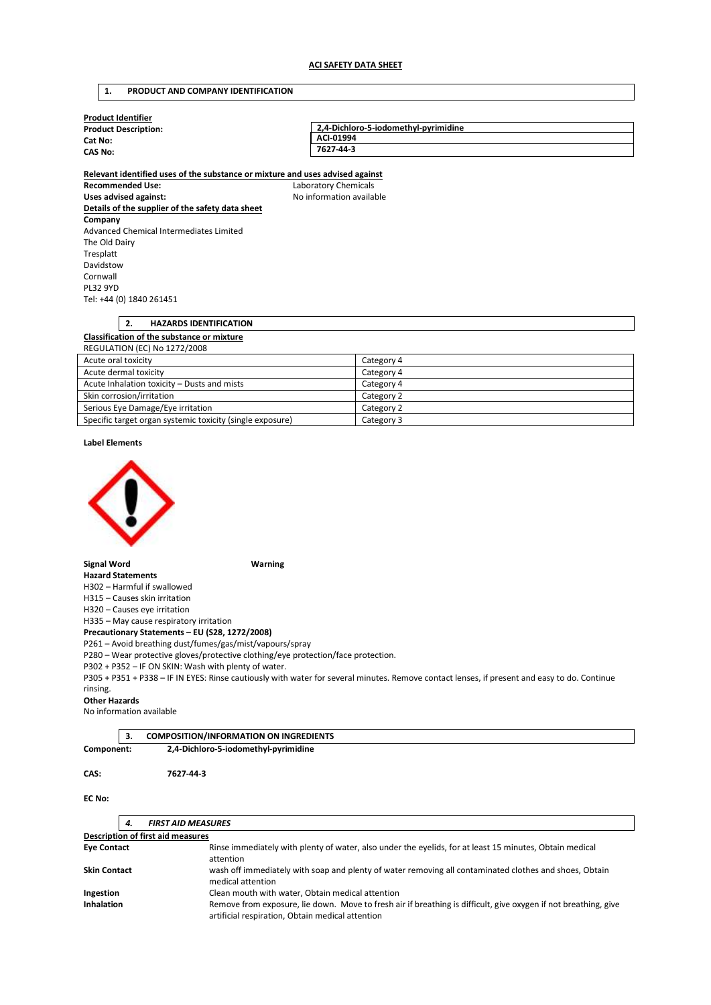## **1. PRODUCT AND COMPANY IDENTIFICATION**

| <b>Product Identifier</b>   |                                      |
|-----------------------------|--------------------------------------|
| <b>Product Description:</b> | 2,4-Dichloro-5-iodomethyl-pyrimidine |
| Cat No:                     | ACI-01994                            |
| <b>CAS No:</b>              | 7627-44-3                            |
|                             |                                      |

**Relevant identified uses of the substance or mixture and uses advised against Recommended Use:** Laboratory Chemicals Uses advised against: **No information available Details of the supplier of the safety data sheet Company**  Advanced Chemical Intermediates Limited The Old Dairy Tresplatt Davidstow Cornwall PL32 9YD Tel: +44 (0) 1840 261451

## **2. HAZARDS IDENTIFICATION Classification of the substance or mixture**  REGULATION (EC) No 1272/2008 Acute oral toxicity Category 4

| ACULC UIGI LUAICILY                                       | Calcgory + |
|-----------------------------------------------------------|------------|
| Acute dermal toxicity                                     | Category 4 |
| Acute Inhalation toxicity - Dusts and mists               | Category 4 |
| Skin corrosion/irritation                                 | Category 2 |
| Serious Eye Damage/Eye irritation                         | Category 2 |
| Specific target organ systemic toxicity (single exposure) | Category 3 |

**Label Elements** 



**Signal Word Warning** 

**Hazard Statements**  H302 – Harmful if swallowed

H315 – Causes skin irritation

H320 – Causes eye irritation

H335 – May cause respiratory irritation

**Precautionary Statements – EU (S28, 1272/2008)** 

P261 – Avoid breathing dust/fumes/gas/mist/vapours/spray

P280 – Wear protective gloves/protective clothing/eye protection/face protection.

P302 + P352 – IF ON SKIN: Wash with plenty of water.

P305 + P351 + P338 – IF IN EYES: Rinse cautiously with water for several minutes. Remove contact lenses, if present and easy to do. Continue rinsing.

### **Other Hazards**

No information available

|            | <b>COMPOSITION/INFORMATION ON INGREDIENTS</b> |  |
|------------|-----------------------------------------------|--|
| Component: | 2,4-Dichloro-5-iodomethyl-pyrimidine          |  |

**CAS: 7627-44-3** 

## **EC No:**

| <b>FIRST AID MEASURES</b><br>4.          |                                                                                                                                                                     |
|------------------------------------------|---------------------------------------------------------------------------------------------------------------------------------------------------------------------|
| <b>Description of first aid measures</b> |                                                                                                                                                                     |
| <b>Eye Contact</b>                       | Rinse immediately with plenty of water, also under the eyelids, for at least 15 minutes, Obtain medical<br>attention                                                |
| <b>Skin Contact</b>                      | wash off immediately with soap and plenty of water removing all contaminated clothes and shoes, Obtain<br>medical attention                                         |
| Ingestion                                | Clean mouth with water, Obtain medical attention                                                                                                                    |
| <b>Inhalation</b>                        | Remove from exposure, lie down. Move to fresh air if breathing is difficult, give oxygen if not breathing, give<br>artificial respiration, Obtain medical attention |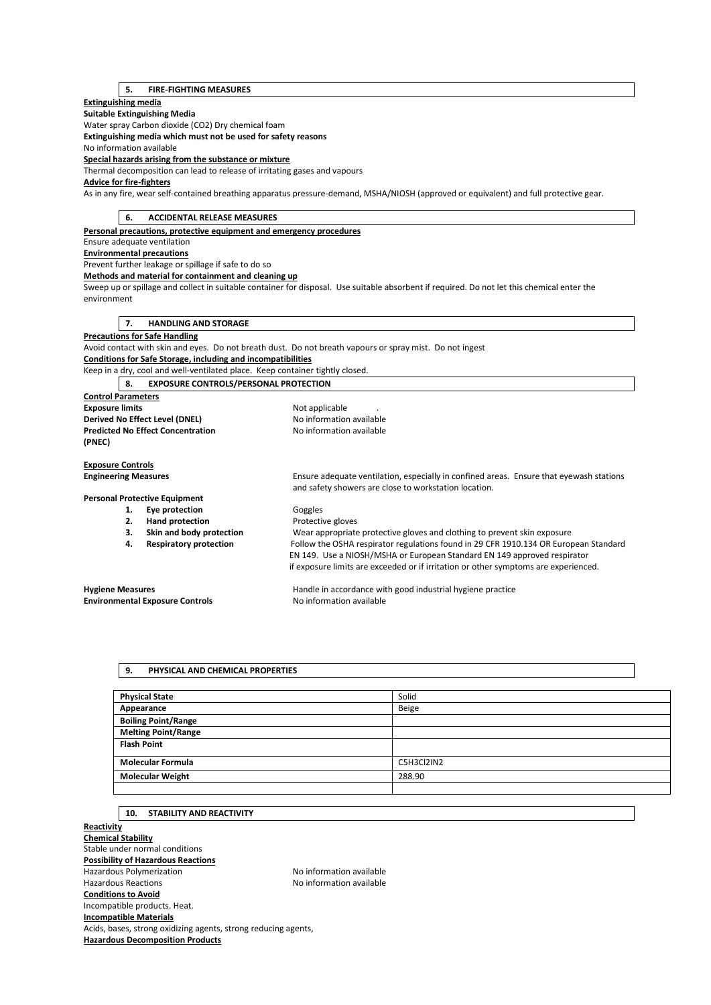# **5. FIRE-FIGHTING MEASURES**

## **Extinguishing media**

**Suitable Extinguishing Media**  Water spray Carbon dioxide (CO2) Dry chemical foam

**Extinguishing media which must not be used for safety reasons** 

No information available

**Special hazards arising from the substance or mixture** 

Thermal decomposition can lead to release of irritating gases and vapours

# **Advice for fire-fighters**

As in any fire, wear self-contained breathing apparatus pressure-demand, MSHA/NIOSH (approved or equivalent) and full protective gear.

| 6.<br><b>ACCIDENTAL RELEASE MEASURES</b>                                      |                                                                                                                                                  |
|-------------------------------------------------------------------------------|--------------------------------------------------------------------------------------------------------------------------------------------------|
| Personal precautions, protective equipment and emergency procedures           |                                                                                                                                                  |
| Ensure adequate ventilation                                                   |                                                                                                                                                  |
| <b>Environmental precautions</b>                                              |                                                                                                                                                  |
| Prevent further leakage or spillage if safe to do so                          |                                                                                                                                                  |
| Methods and material for containment and cleaning up                          |                                                                                                                                                  |
| environment                                                                   | Sweep up or spillage and collect in suitable container for disposal. Use suitable absorbent if required. Do not let this chemical enter the      |
| <b>HANDLING AND STORAGE</b><br>7.                                             |                                                                                                                                                  |
| <b>Precautions for Safe Handling</b>                                          |                                                                                                                                                  |
|                                                                               | Avoid contact with skin and eyes. Do not breath dust. Do not breath vapours or spray mist. Do not ingest                                         |
| Conditions for Safe Storage, including and incompatibilities                  |                                                                                                                                                  |
| Keep in a dry, cool and well-ventilated place. Keep container tightly closed. |                                                                                                                                                  |
| 8.<br><b>EXPOSURE CONTROLS/PERSONAL PROTECTION</b>                            |                                                                                                                                                  |
| <b>Control Parameters</b>                                                     |                                                                                                                                                  |
| <b>Exposure limits</b>                                                        | Not applicable                                                                                                                                   |
| Derived No Effect Level (DNEL)                                                | No information available                                                                                                                         |
| <b>Predicted No Effect Concentration</b>                                      | No information available                                                                                                                         |
| (PNEC)                                                                        |                                                                                                                                                  |
|                                                                               |                                                                                                                                                  |
| <b>Exposure Controls</b>                                                      |                                                                                                                                                  |
| <b>Engineering Measures</b>                                                   | Ensure adequate ventilation, especially in confined areas. Ensure that eyewash stations<br>and safety showers are close to workstation location. |
| <b>Personal Protective Equipment</b>                                          |                                                                                                                                                  |
| Eye protection<br>1.                                                          | Goggles                                                                                                                                          |
| <b>Hand protection</b><br>2.                                                  | Protective gloves                                                                                                                                |
| Skin and body protection<br>3.                                                | Wear appropriate protective gloves and clothing to prevent skin exposure                                                                         |
| <b>Respiratory protection</b><br>4.                                           | Follow the OSHA respirator regulations found in 29 CFR 1910.134 OR European Standard                                                             |
|                                                                               | EN 149. Use a NIOSH/MSHA or European Standard EN 149 approved respirator                                                                         |
|                                                                               | if exposure limits are exceeded or if irritation or other symptoms are experienced.                                                              |
| <b>Hygiene Measures</b>                                                       | Handle in accordance with good industrial hygiene practice                                                                                       |
| <b>Environmental Exposure Controls</b>                                        | No information available                                                                                                                         |

### **9. PHYSICAL AND CHEMICAL PROPERTIES**

| <b>Physical State</b>      | Solid      |
|----------------------------|------------|
| Appearance                 | Beige      |
| <b>Boiling Point/Range</b> |            |
| <b>Melting Point/Range</b> |            |
| <b>Flash Point</b>         |            |
| <b>Molecular Formula</b>   | C5H3Cl2IN2 |
| <b>Molecular Weight</b>    | 288.90     |
|                            |            |

### **10. STABILITY AND REACTIVITY**

**Reactivity Chemical Stability**  Stable under normal conditions **Possibility of Hazardous Reactions**  Hazardous Polymerization Maximum No information available Hazardous Reactions **No information available Conditions to Avoid**  Incompatible products. Heat. **Incompatible Materials**  Acids, bases, strong oxidizing agents, strong reducing agents, **Hazardous Decomposition Products**